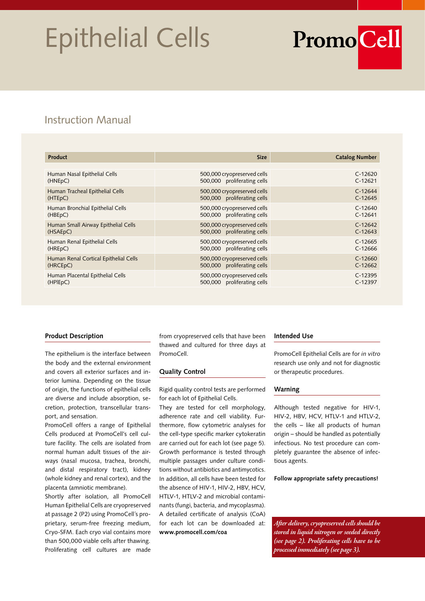## Epithelial Cells

# **PromoCell**

## Instruction Manual

| <b>Product</b>                        | <b>Size</b>                 | <b>Catalog Number</b> |
|---------------------------------------|-----------------------------|-----------------------|
|                                       |                             |                       |
| Human Nasal Epithelial Cells          | 500,000 cryopreserved cells | $C-12620$             |
| (HNEpC)                               | 500,000 proliferating cells | $C-12621$             |
| Human Tracheal Epithelial Cells       | 500,000 cryopreserved cells | $C-12644$             |
| (HTEpC)                               | 500,000 proliferating cells | $C-12645$             |
| Human Bronchial Epithelial Cells      | 500,000 cryopreserved cells | $C-12640$             |
| (HBE <sub>p</sub> C)                  | 500,000 proliferating cells | $C-12641$             |
| Human Small Airway Epithelial Cells   | 500,000 cryopreserved cells | $C-12642$             |
| (HSAEpC)                              | 500,000 proliferating cells | $C-12643$             |
| Human Renal Epithelial Cells          | 500,000 cryopreserved cells | $C-12665$             |
| (HREpC)                               | 500,000 proliferating cells | $C-12666$             |
| Human Renal Cortical Epithelial Cells | 500,000 cryopreserved cells | $C-12660$             |
| (HRCE <sub>p</sub> C)                 | 500,000 proliferating cells | $C-12662$             |
| Human Placental Epithelial Cells      | 500,000 cryopreserved cells | $C-12395$             |
| (HPIEpC)                              | 500,000 proliferating cells | $C-12397$             |

#### **Product Description**

The epithelium is the interface between the body and the external environment and covers all exterior surfaces and interior lumina. Depending on the tissue of origin, the functions of epithelial cells are diverse and include absorption, secretion, protection, transcellular transport, and sensation.

PromoCell offers a range of Epithelial Cells produced at PromoCell's cell culture facility. The cells are isolated from normal human adult tissues of the airways (nasal mucosa, trachea, bronchi, and distal respiratory tract), kidney (whole kidney and renal cortex), and the placenta (amniotic membrane).

Shortly after isolation, all PromoCell Human Epithelial Cells are cryopreserved at passage 2 (P2) using PromoCell´s proprietary, serum-free freezing medium, Cryo-SFM. Each cryo vial contains more than 500,000 viable cells after thawing. Proliferating cell cultures are made

from cryopreserved cells that have been thawed and cultured for three days at PromoCell.

#### **Quality Control**

Rigid quality control tests are performed for each lot of Epithelial Cells.

They are tested for cell morphology, adherence rate and cell viability. Furthermore, flow cytometric analyses for the cell-type specific marker cytokeratin are carried out for each lot (see page 5). Growth performance is tested through multiple passages under culture conditions without antibiotics and antimycotics. In addition, all cells have been tested for the absence of HIV-1, HIV-2, HBV, HCV, HTLV-1, HTLV-2 and microbial contaminants (fungi, bacteria, and mycoplasma). A detailed certificate of analysis (CoA) for each lot can be downloaded at: **www.promocell.com/coa**

#### **Intended Use**

PromoCell Epithelial Cells are for *in vitro*  research use only and not for diagnostic or therapeutic procedures.

#### **Warning**

Although tested negative for HIV-1, HIV-2, HBV, HCV, HTLV-1 and HTLV-2, the cells – like all products of human origin – should be handled as potentially infectious. No test procedure can completely guarantee the absence of infectious agents.

**Follow appropriate safety precautions!**

*After delivery, cryopreserved cells should be stored in liquid nitrogen or seeded directly (see page 2). Proliferating cells have to be processed immediately (see page 3).*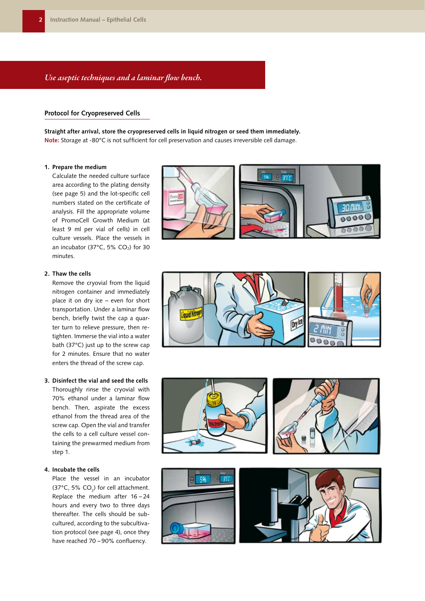#### *Use aseptic techniques and a laminar flow bench.*

#### **Protocol for Cryopreserved Cells**

**Straight after arrival, store the cryopreserved cells in liquid nitrogen or seed them immediately. Note:** Storage at -80°C is not sufficient for cell preservation and causes irreversible cell damage.

#### **1. Prepare the medium**

Calculate the needed culture surface area according to the plating density (see page 5) and the lot-specific cell numbers stated on the certificate of analysis. Fill the appropriate volume of PromoCell Growth Medium (at least 9 ml per vial of cells) in cell culture vessels. Place the vessels in an incubator (37 $^{\circ}$ C, 5% CO<sub>2</sub>) for 30 minutes.



Remove the cryovial from the liquid nitrogen container and immediately place it on dry ice – even for short transportation. Under a laminar flow bench, briefly twist the cap a quarter turn to relieve pressure, then retighten. Immerse the vial into a water bath (37°C) just up to the screw cap for 2 minutes. Ensure that no water enters the thread of the screw cap.

#### **3. Disinfect the vial and seed the cells**

Thoroughly rinse the cryovial with 70% ethanol under a laminar flow bench. Then, aspirate the excess ethanol from the thread area of the screw cap. Open the vial and transfer the cells to a cell culture vessel containing the prewarmed medium from step 1.

#### **4. Incubate the cells**

Place the vessel in an incubator (37°C, 5%  $CO<sub>2</sub>$ ) for cell attachment. Replace the medium after 16 – 24 hours and every two to three days thereafter. The cells should be subcultured, according to the subcultivation protocol (see page 4), once they have reached 70 – 90% confluency.









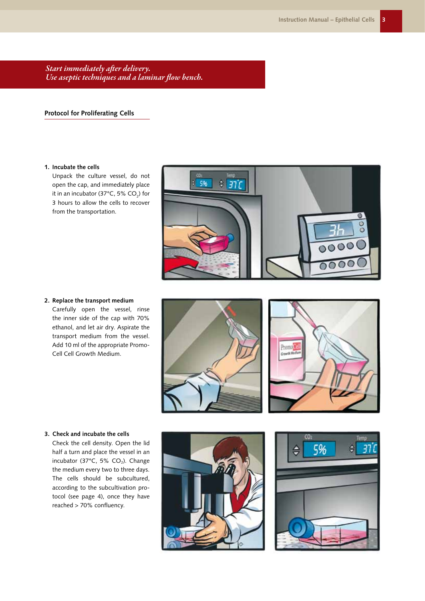*Start immediately after delivery. Use aseptic techniques and a laminar flow bench.*

#### **Protocol for Proliferating Cells**

#### **1. Incubate the cells**

Unpack the culture vessel, do not open the cap, and immediately place it in an incubator (37°C, 5% CO $_2$ ) for 3 hours to allow the cells to recover from the transportation.



**2. Replace the transport medium** Carefully open the vessel, rinse the inner side of the cap with 70% ethanol, and let air dry. Aspirate the transport medium from the vessel. Add 10 ml of the appropriate Promo-Cell Cell Growth Medium.





#### **3. Check and incubate the cells**

Check the cell density. Open the lid half a turn and place the vessel in an incubator (37 $^{\circ}$ C, 5% CO<sub>2</sub>). Change the medium every two to three days. The cells should be subcultured, according to the subcultivation protocol (see page 4), once they have reached > 70% confluency.



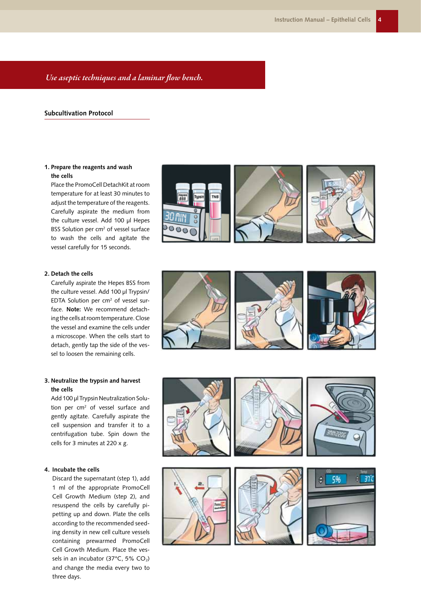#### *Use aseptic techniques and a laminar flow bench.*

#### **Subcultivation Protocol**

#### **1. Prepare the reagents and wash the cells**

Place the PromoCell DetachKit at room temperature for at least 30 minutes to adjust the temperature of the reagents. Carefully aspirate the medium from the culture vessel. Add 100 µl Hepes BSS Solution per cm<sup>2</sup> of vessel surface to wash the cells and agitate the vessel carefully for 15 seconds.



Carefully aspirate the Hepes BSS from the culture vessel. Add 100 µl Trypsin/  $EDTA$  Solution per  $cm<sup>2</sup>$  of vessel surface. **Note:** We recommend detaching the cells at room temperature. Close the vessel and examine the cells under a microscope. When the cells start to detach, gently tap the side of the vessel to loosen the remaining cells.

#### **3. Neutralize the trypsin and harvest the cells**

Add 100 µl Trypsin Neutralization Solution per cm<sup>2</sup> of vessel surface and gently agitate. Carefully aspirate the cell suspension and transfer it to a centrifugation tube. Spin down the cells for 3 minutes at 220 x g.

#### **4. Incubate the cells**

Discard the supernatant (step 1), add 1 ml of the appropriate PromoCell Cell Growth Medium (step 2), and resuspend the cells by carefully pipetting up and down. Plate the cells according to the recommended seeding density in new cell culture vessels containing prewarmed PromoCell Cell Growth Medium. Place the vessels in an incubator (37°C, 5% CO<sub>2</sub>) and change the media every two to three days.





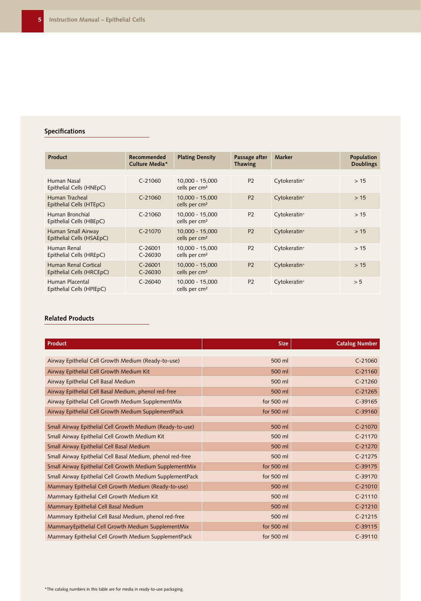### **Specifications**

| <b>Product</b>                                           | <b>Recommended</b><br>Culture Media* | <b>Plating Density</b>                         | Passage after<br>Thawing | <b>Marker</b>            | Population<br><b>Doublings</b> |
|----------------------------------------------------------|--------------------------------------|------------------------------------------------|--------------------------|--------------------------|--------------------------------|
|                                                          |                                      |                                                |                          |                          |                                |
| Human Nasal<br>Epithelial Cells (HNEpC)                  | $C-21060$                            | 10.000 - 15.000<br>cells per cm <sup>2</sup>   | <b>P2</b>                | Cytokeratin <sup>+</sup> | >15                            |
| Human Tracheal<br>Epithelial Cells (HTEpC)               | $C - 21060$                          | $10,000 - 15,000$<br>cells per $cm2$           | <b>P2</b>                | Cytokeratin <sup>+</sup> | >15                            |
| Human Bronchial<br>Epithelial Cells (HBEpC)              | $C-21060$                            | 10.000 - 15.000<br>cells per $cm2$             | P <sub>2</sub>           | Cytokeratin <sup>+</sup> | >15                            |
| Human Small Airway<br>Epithelial Cells (HSAEpC)          | $C-21070$                            | $10,000 - 15,000$<br>cells per cm <sup>2</sup> | <b>P2</b>                | Cytokeratin <sup>+</sup> | >15                            |
| Human Renal<br>Epithelial Cells (HREpC)                  | $C-26001$<br>$C-26030$               | 10,000 - 15,000<br>cells per $cm2$             | P <sub>2</sub>           | Cytokeratin <sup>+</sup> | >15                            |
| <b>Human Renal Cortical</b><br>Epithelial Cells (HRCEpC) | $C - 26001$<br>$C-26030$             | 10,000 - 15,000<br>cells per cm <sup>2</sup>   | <b>P2</b>                | Cytokeratin <sup>+</sup> | >15                            |
| Human Placental<br>Epithelial Cells (HPlEpC)             | $C-26040$                            | 10,000 - 15,000<br>cells per cm <sup>2</sup>   | <b>P2</b>                | Cytokeratin <sup>+</sup> | > 5                            |

#### **Related Products**

| Product                                                    | <b>Size</b> | <b>Catalog Number</b> |
|------------------------------------------------------------|-------------|-----------------------|
|                                                            |             |                       |
| Airway Epithelial Cell Growth Medium (Ready-to-use)        | 500 ml      | $C-21060$             |
| Airway Epithelial Cell Growth Medium Kit                   | 500 ml      | $C-21160$             |
| Airway Epithelial Cell Basal Medium                        | 500 ml      | $C-21260$             |
| Airway Epithelial Cell Basal Medium, phenol red-free       | 500 ml      | $C-21265$             |
| Airway Epithelial Cell Growth Medium SupplementMix         | for 500 ml  | $C-39165$             |
| Airway Epithelial Cell Growth Medium SupplementPack        | for 500 ml  | $C-39160$             |
|                                                            |             |                       |
| Small Airway Epithelial Cell Growth Medium (Ready-to-use)  | 500 ml      | $C-21070$             |
| Small Airway Epithelial Cell Growth Medium Kit             | 500 ml      | $C-21170$             |
| Small Airway Epithelial Cell Basal Medium                  | 500 ml      | $C-21270$             |
| Small Airway Epithelial Cell Basal Medium, phenol red-free | 500 ml      | $C-21275$             |
| Small Airway Epithelial Cell Growth Medium SupplementMix   | for 500 ml  | $C-39175$             |
| Small Airway Epithelial Cell Growth Medium SupplementPack  | for 500 ml  | $C-39170$             |
| Mammary Epithelial Cell Growth Medium (Ready-to-use)       | 500 ml      | $C-21010$             |
| Mammary Epithelial Cell Growth Medium Kit                  | 500 ml      | $C-21110$             |
| Mammary Epithelial Cell Basal Medium                       | 500 ml      | $C-21210$             |
| Mammary Epithelial Cell Basal Medium, phenol red-free      | 500 ml      | $C-21215$             |
| Mammary Epithelial Cell Growth Medium SupplementMix        | for 500 ml  | $C-39115$             |
| Mammary Epithelial Cell Growth Medium SupplementPack       | for 500 ml  | $C-39110$             |